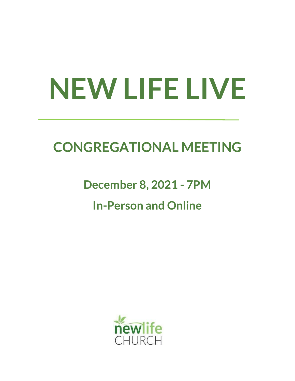# **NEW LIFE LIVE**

# **CONGREGATIONAL MEETING**

# **December 8, 2021 - 7PM In-Person and Online**

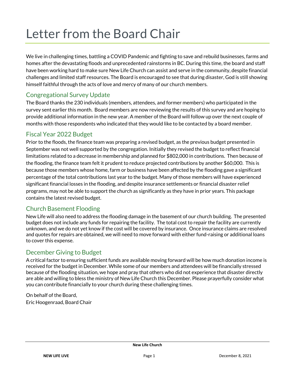# Letter from the Board Chair

We live in challenging times, battling a COVID Pandemic and fighting to save and rebuild businesses, farms and homes after the devastating floods and unprecedented rainstorms in BC. During this time, the board and staff have been working hard to make sure New Life Church can assist and serve in the community, despite financial challenges and limited staff resources. The Board is encouraged to see that during disaster, God is still showing himself faithful through the acts of love and mercy of many of our church members.

### Congregational Survey Update

The Board thanks the 230 individuals (members, attendees, and former members) who participated in the survey sent earlier this month. Board members are now reviewing the results of this survey and are hoping to provide additional information in the new year. A member of the Board will follow up over the next couple of months with those respondents who indicated that they would like to be contacted by a board member.

#### Fiscal Year 2022 Budget

Prior to the floods, the finance team was preparing a revised budget, as the previous budget presented in September was not well supported by the congregation. Initially they revised the budget to reflect financial limitations related to a decrease in membership and planned for \$802,000 in contributions. Then because of the flooding, the finance team felt it prudent to reduce projected contributions by another \$60,000. This is because those members whose home, farm or business have been affected by the flooding gave a significant percentage of the total contributions last year to the budget. Many of those members will have experienced significant financial losses in the flooding, and despite insurance settlements or financial disaster relief programs, may not be able to support the church as significantly as they have in prior years. This package contains the latest revised budget.

### Church Basement Flooding

New Life will also need to address the flooding damage in the basement of our church building. The presented budget does not include any funds for repairing the facility. The total cost to repair the facility are currently unknown, and we do not yet know if the cost will be covered by insurance. Once insurance claims are resolved and quotes for repairs are obtained, we will need to move forward with either fund-raising or additional loans to cover this expense.

#### December Giving to Budget

A critical factor to ensuring sufficient funds are available moving forward will be how much donation income is received for the budget in December. While some of our members and attendees will be financially stressed because of the flooding situation, we hope and pray that others who did not experience that disaster directly are able and willing to bless the ministry of New Life Church this December. Please prayerfully consider what you can contribute financially to your church during these challenging times.

On behalf of the Board, Eric Hoogenraad, Board Chair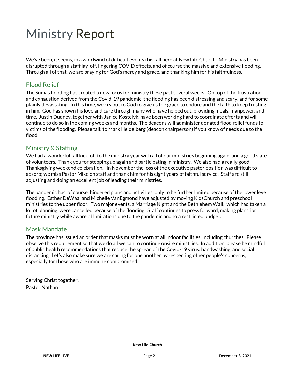# Ministry Report

We've been, it seems, in a whirlwind of difficult events this fall here at New Life Church. Ministry has been disrupted through a staff lay-off, lingering COVID effects, and of course the massive and extensive flooding. Through all of that, we are praying for God's mercy and grace, and thanking him for his faithfulness.

#### Flood Relief

The Sumas flooding has created a new focus for ministry these past several weeks. On top of the frustration and exhaustion derived from the Covid-19 pandemic, the flooding has been distressing and scary, and for some plainly devastating. In this time, we cry out to God to give us the grace to endure and the faith to keep trusting in him. God has shown his love and care through many who have helped out, providing meals, manpower, and time. Justin Dudney, together with Janice Kostelyk, have been working hard to coordinate efforts and will continue to do so in the coming weeks and months. The deacons will administer donated flood relief funds to victims of the flooding. Please talk to Mark Heidelberg (deacon chairperson) if you know of needs due to the flood.

#### Ministry & Staffing

We had a wonderful fall kick-off to the ministry year with all of our ministries beginning again, and a good slate of volunteers. Thank you for stepping up again and participating in ministry. We also had a really good Thanksgiving weekend celebration. In November the loss of the executive pastor position was difficult to absorb; we miss Pastor Mike on staff and thank him for his eight years of faithful service. Staff are still adjusting and doing an excellent job of leading their ministries.

The pandemic has, of course, hindered plans and activities, only to be further limited because of the lower level flooding. Esther DeWaal and Michelle VanEgmond have adjusted by moving KidsChurch and preschool ministries to the upper floor. Two major events, a Marriage Night and the Bethlehem Walk, which had taken a lot of planning, were cancelled because of the flooding. Staff continues to press forward, making plans for future ministry while aware of limitations due to the pandemic and to a restricted budget.

#### Mask Mandate

The province has issued an order that masks must be worn at all indoor facilities, including churches. Please observe this requirement so that we do all we can to continue onsite ministries. In addition, please be mindful of public health recommendations that reduce the spread of the Covid-19 virus: handwashing, and social distancing. Let's also make sure we are caring for one another by respecting other people's concerns, especially for those who are immune compromised.

Serving Christ together, Pastor Nathan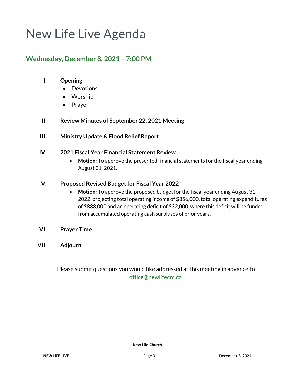# New Life Live Agenda

## **Wednesday, December 8, 2021 – 7:00 PM**

#### **I. Opening**

- Devotions
- Worship
- Prayer
- **II. Review Minutes of September 22, 2021 Meeting**
- **III. Ministry Update & Flood Relief Report**

#### **IV. 2021 Fiscal Year Financial Statement Review**

• **Motion:** To approve the presented financial statements for the fiscal year ending August 31, 2021.

#### **V. Proposed Revised Budget for Fiscal Year 2022**

- **Motion:** To approve the proposed budget for the fiscal year ending August 31, 2022, projecting total operating income of \$856,000, total operating expenditures of \$888,000 and an operating deficit of \$32,000, where this deficit will be funded from accumulated operating cash surpluses of prior years.
- **VI. Prayer Time**
- **VII. Adjourn**

Please submit questions you would like addressed at this meeting in advance to [office@newlifecrc.ca](mailto:office@newlifecrc.ca).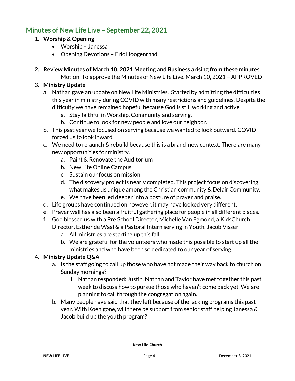# **Minutes of New Life Live – September 22, 2021**

#### **1. Worship & Opening**

- Worship Janessa
- Opening Devotions Eric Hoogenraad
- **2. Review Minutes of March 10, 2021 Meeting and Business arising from these minutes.**

Motion: To approve the Minutes of New Life Live, March 10, 2021 – APPROVED

#### 3. **Ministry Update**

- a. Nathan gave an update on New Life Ministries. Started by admitting the difficulties this year in ministry during COVID with many restrictions and guidelines. Despite the difficulty we have remained hopeful because God is still working and active
	- a. Stay faithful in Worship, Community and serving.
	- b. Continue to look for new people and love our neighbor.
- b. This past year we focused on serving because we wanted to look outward. COVID forced us to look inward.
- c. We need to relaunch & rebuild because this is a brand-new context. There are many new opportunities for ministry.
	- a. Paint & Renovate the Auditorium
	- b. New Life Online Campus
	- c. Sustain our focus on mission
	- d. The discovery project is nearly completed. This project focus on discovering what makes us unique among the Christian community & Delair Community.
	- e. We have been led deeper into a posture of prayer and praise.
- d. Life groups have continued on however, it may have looked very different.
- e. Prayer wall has also been a fruitful gathering place for people in all different places.
- f. God blessed us with a Pre School Director, Michelle Van Egmond, a KidsChurch Director, Esther de Waal & a Pastoral Intern serving in Youth, Jacob Visser.
	- a. All ministries are starting up this fall
	- b. We are grateful for the volunteers who made this possible to start up all the ministries and who have been so dedicated to our year of serving.

### 4. **Ministry Update Q&A**

- a. Is the staff going to call up those who have not made their way back to church on Sunday mornings?
	- i. Nathan responded: Justin, Nathan and Taylor have met together this past week to discuss how to pursue those who haven't come back yet. We are planning to call through the congregation again.
- b. Many people have said that they left because of the lacking programs this past year. With Koen gone, will there be support from senior staff helping Janessa & Jacob build up the youth program?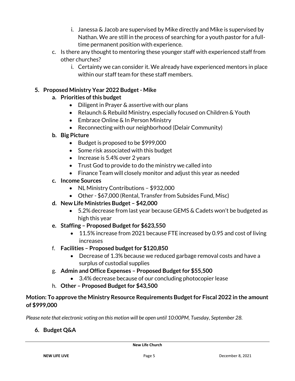- i. Janessa & Jacob are supervised by Mike directly and Mike is supervised by Nathan. We are still in the process of searching for a youth pastor for a fulltime permanent position with experience.
- c. Is there any thought to mentoring these younger staff with experienced staff from other churches?
	- i. Certainty we can consider it. We already have experienced mentors in place within our staff team for these staff members.

#### **5. Proposed Ministry Year 2022 Budget - Mike**

#### **a. Priorities of this budget**

- Diligent in Prayer & assertive with our plans
- Relaunch & Rebuild Ministry, especially focused on Children & Youth
- Embrace Online & In Person Ministry
- Reconnecting with our neighborhood (Delair Community)

#### **b. Big Picture**

- Budget is proposed to be \$999,000
- Some risk associated with this budget
- Increase is 5.4% over 2 years
- Trust God to provide to do the ministry we called into
- Finance Team will closely monitor and adjust this year as needed

#### **c. Income Sources**

- NL Ministry Contributions \$932,000
- Other \$67,000 (Rental, Transfer from Subsides Fund, Misc)
- **d. New Life Ministries Budget – \$42,000** 
	- 5.2% decrease from last year because GEMS & Cadets won't be budgeted as high this year
- **e. Staffing – Proposed Budget for \$623,550** 
	- 11.5% increase from 2021 because FTE increased by 0.95 and cost of living increases
- f. **Facilities – Proposed budget for \$120,850**
	- Decrease of 1.3% because we reduced garbage removal costs and have a surplus of custodial supplies
- g. **Admin and Office Expenses – Proposed Budget for \$55,500**
	- 3.4% decrease because of our concluding photocopier lease
- h. **Other – Proposed Budget for \$43,500**

#### **Motion: To approve the Ministry Resource Requirements Budget for Fiscal 2022 in the amount of \$999,000**

*Please note that electronic voting on this motion will be open until 10:00PM, Tuesday, September 28.* 

#### **6. Budget Q&A**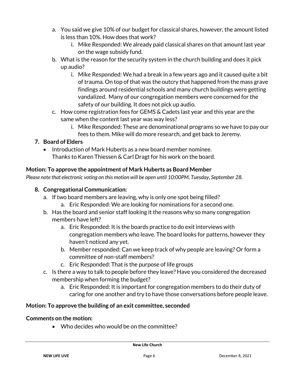- a. You said we give 10% of our budget for classical shares, however, the amount listed is less than 10%. How does that work?
	- i. Mike Responded: We already paid classical shares on that amount last year on the wage subsidy fund.
- b. What is the reason for the security system in the church building and does it pick up audio?
	- i. Mike Responded: We had a break in a few years ago and it caused quite a bit of trauma. On top of that was the outcry that happened from the mass grave findings around residential schools and many church buildings were getting vandalized. Many of our congregation members were concerned for the safety of our building. It does not pick up audio.
- c. How come registration fees for GEMS & Cadets last year and this year are the same when the content last year was way less?
	- i. Mike Responded: These are denominational programs so we have to pay our fees to them. Mike will do more research, and get back to Jeremy.

### **7. Board of Elders**

• Introduction of Mark Huberts as a new board member nominee. Thanks to Karen Thiessen & Carl Dragt for his work on the board.

### **Motion: To approve the appointment of Mark Huberts as Board Member**

*Please note that electronic voting on this motion will be open until 10:00PM, Tuesday, September 28.*

#### **8. Congregational Communication:**

- a. If two board members are leaving, why is only one spot being filled?
	- a. Eric Responded: We are looking for nominations for a second one.
- b. Has the board and senior staff looking it the reasons why so many congregation members have left?
	- a. Eric Responded: It is the boards practice to do exit interviews with congregation members who leave. The board looks for patterns, however they haven't noticed any yet.
	- b. Member responded: Can we keep track of why people are leaving? Or form a committee of non-staff members?
	- c. Eric Responded: That is the purpose of life groups
- c. Is there a way to talk to people before they leave? Have you considered the decreased membership when forming the budget?
	- a. Eric Responded: It is important for congregation members to do their duty of caring for one another and try to have those conversations before people leave.

### **Motion: To approve the building of an exit committee, seconded**

#### **Comments on the motion:**

• Who decides who would be on the committee?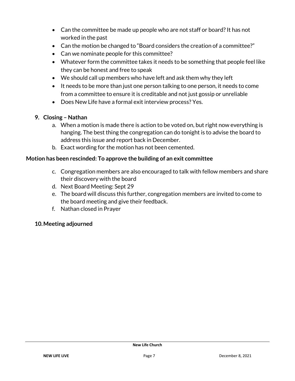- Can the committee be made up people who are not staff or board? It has not worked in the past
- Can the motion be changed to "Board considers the creation of a committee?"
- Can we nominate people for this committee?
- Whatever form the committee takes it needs to be something that people feel like they can be honest and free to speak
- We should call up members who have left and ask them why they left
- It needs to be more than just one person talking to one person, it needs to come from a committee to ensure it is creditable and not just gossip or unreliable
- Does New Life have a formal exit interview process? Yes.

#### **9. Closing – Nathan**

- a. When a motion is made there is action to be voted on, but right now everything is hanging. The best thing the congregation can do tonight is to advise the board to address this issue and report back in December.
- b. Exact wording for the motion has not been cemented.

#### **Motion has been rescinded: To approve the building of an exit committee**

- c. Congregation members are also encouraged to talk with fellow members and share their discovery with the board
- d. Next Board Meeting: Sept 29
- e. The board will discuss this further, congregation members are invited to come to the board meeting and give their feedback.
- f. Nathan closed in Prayer

#### **10.Meeting adjourned**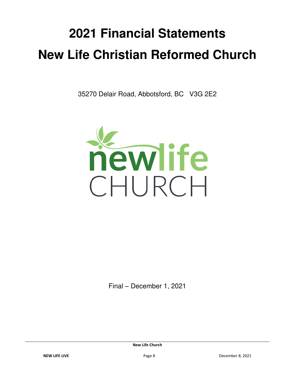# **2021 Financial Statements New Life Christian Reformed Church**

35270 Delair Road, Abbotsford, BC V3G 2E2



Final – December 1, 2021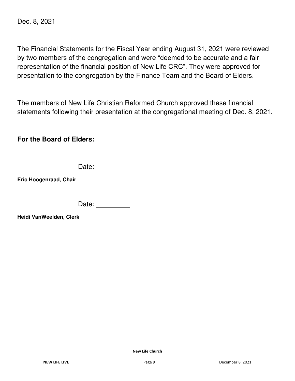Dec. 8, 2021

The Financial Statements for the Fiscal Year ending August 31, 2021 were reviewed by two members of the congregation and were "deemed to be accurate and a fair representation of the financial position of New Life CRC". They were approved for presentation to the congregation by the Finance Team and the Board of Elders.

The members of New Life Christian Reformed Church approved these financial statements following their presentation at the congregational meeting of Dec. 8, 2021.

**For the Board of Elders:**

Date: **Date:** 

**Eric Hoogenraad, Chair** 

Date: **Date:** 

**Heidi VanWeelden, Clerk**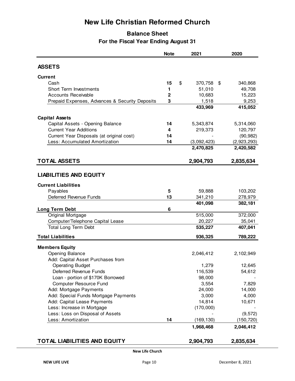# **New Life Christian Reformed Church**

#### **Balance Sheet For the Fiscal Year Ending August 31**

|                                                | <b>Note</b>  | 2021                | 2020        |
|------------------------------------------------|--------------|---------------------|-------------|
| <b>ASSETS</b>                                  |              |                     |             |
|                                                |              |                     |             |
| <b>Current</b>                                 |              |                     |             |
| Cash                                           | 15           | \$<br>370,758<br>\$ | 340,868     |
| Short Term Investments                         | 1            | 51,010              | 49,708      |
| <b>Accounts Receivable</b>                     | $\mathbf{2}$ | 10,683              | 15,223      |
| Prepaid Expenses, Advances & Security Deposits | 3            | 1,518               | 9,253       |
|                                                |              | 433,969             | 415,052     |
| <b>Capital Assets</b>                          |              |                     |             |
| Capital Assets - Opening Balance               | 14           | 5,343,874           | 5,314,060   |
| <b>Current Year Additions</b>                  | 4            | 219,373             | 120,797     |
| Current Year Disposals (at original cost)      | 14           |                     | (90, 982)   |
| Less: Accumulated Amortization                 | 14           | (3,092,423)         | (2,923,293) |
|                                                |              | 2,470,825           | 2,420,582   |
| <b>TOTAL ASSETS</b>                            |              | 2,904,793           | 2,835,634   |
|                                                |              |                     |             |
| <b>LIABILITIES AND EQUITY</b>                  |              |                     |             |
| <b>Current Liabilities</b>                     |              |                     |             |
| Payables                                       | 5            | 59,888              | 103,202     |
| Deferred Revenue Funds                         | 13           | 341,210             | 278,979     |
|                                                |              | 401,098             | 382,181     |
| <b>Long Term Debt</b>                          | 6            |                     |             |
| Original Mortgage                              |              | 515,000             | 372,000     |
| Computer/Telephone Capital Lease               |              | 20,227              | 35,041      |
| Total Long Term Debt                           |              | 535,227             | 407,041     |
| <b>Total Liabilities</b>                       |              | 936,325             | 789,222     |
| <b>Members Equity</b>                          |              |                     |             |
| Opening Balance                                |              | 2,046,412           | 2,102,949   |
| Add: Capital Asset Purchases from              |              |                     |             |
| <b>Operating Budget</b>                        |              | 1,279               | 12,645      |
| Deferred Revenue Funds                         |              | 116,539             | 54,612      |
| Loan - portion of \$170K Borrowed              |              | 98,000              |             |
| Computer Resource Fund                         |              | 3,554               | 7,829       |
| Add: Mortgage Payments                         |              | 24,000              | 14,000      |
| Add: Special Funds Mortgage Payments           |              | 3,000               | 4,000       |
| Add: Capital Lease Payments                    |              | 14,814              | 10,671      |
| Less: Increase in Mortgage                     |              | (170,000)           |             |
| Less: Loss on Disposal of Assets               |              |                     | (9, 572)    |
| Less: Amortization                             | 14           | (169, 130)          | (150, 720)  |
|                                                |              | 1,968,468           | 2,046,412   |
| <b>TOTAL LIABILITIES AND EQUITY</b>            |              | 2,904,793           | 2,835,634   |
|                                                |              |                     |             |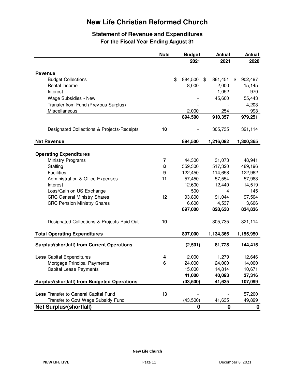# **New Life Christian Reformed Church**

#### **Statement of Revenue and Expenditures For the Fiscal Year Ending August 31**

|                                                     | <b>Note</b>             | <b>Budget</b>      | <b>Actual</b>      | Actual             |
|-----------------------------------------------------|-------------------------|--------------------|--------------------|--------------------|
|                                                     |                         | 2021               | 2021               | 2020               |
|                                                     |                         |                    |                    |                    |
| <b>Revenue</b><br><b>Budget Collections</b>         |                         | \$<br>884,500      | 861,451<br>\$      | \$<br>902,497      |
| Rental Income                                       |                         | 8,000              | 2,000              | 15,145             |
| Interest                                            |                         |                    | 1,052              | 970                |
| Wage Subsidies - New                                |                         |                    | 45,600             | 55,443             |
| Transfer from Fund (Previous Surplus)               |                         |                    |                    | 4,203              |
| Miscellaneous                                       |                         | 2,000              | 254                | 993                |
|                                                     |                         | 894,500            | 910,357            | 979,251            |
| Designated Collections & Projects-Receipts          | 10                      |                    | 305,735            | 321,114            |
| <b>Net Revenue</b>                                  |                         | 894,500            | 1,216,092          | 1,300,365          |
|                                                     |                         |                    |                    |                    |
| <b>Operating Expenditures</b>                       |                         |                    |                    |                    |
| <b>Ministry Programs</b>                            | $\overline{\mathbf{7}}$ | 44,300             | 31,073             | 48,941             |
| Staffing<br><b>Facilities</b>                       | 8<br>9                  | 559,300<br>122,450 | 517,320<br>114,658 | 489,196<br>122,962 |
| <b>Administration &amp; Office Expenses</b>         | 11                      | 57,450             | 57,554             | 57,963             |
| Interest                                            |                         | 12,600             | 12,440             | 14,519             |
| Loss/Gain on US Exchange                            |                         | 500                | 4                  | 145                |
| <b>CRC General Ministry Shares</b>                  | 12                      | 93,800             | 91,044             | 97,504             |
| <b>CRC Pension Ministry Shares</b>                  |                         | 6,600              | 4,537              | 3,606              |
|                                                     |                         | 897,000            | 828,630            | 834,836            |
| Designated Collections & Projects-Paid Out          | 10                      |                    | 305,735            | 321,114            |
| <b>Total Operating Expenditures</b>                 |                         | 897,000            | 1,134,366          | 1,155,950          |
| <b>Surplus/(shortfall) from Current Operations</b>  |                         | (2,501)            | 81,728             | 144,415            |
| <b>Less Capital Expenditures</b>                    | 4                       | 2,000              | 1,279              | 12,646             |
| Mortgage Principal Payments                         | 6                       | 24,000             | 24,000             | 14,000             |
| Capital Lease Payments                              |                         | 15,000             | 14,814             | 10,671             |
|                                                     |                         | 41,000             | 40,093             | 37,316             |
| <b>Surplus/(shortfall) from Budgeted Operations</b> |                         | (43,500)           | 41,635             | 107,099            |
| Less Transfer to General Capital Fund               | 13                      |                    |                    | 57,200             |
| Transfer to Govt Wage Subsidy Fund                  |                         | (43, 500)          | 41,635             | 49,899             |
| <b>Net Surplus/(shortfall)</b>                      |                         | 0                  | 0                  | 0                  |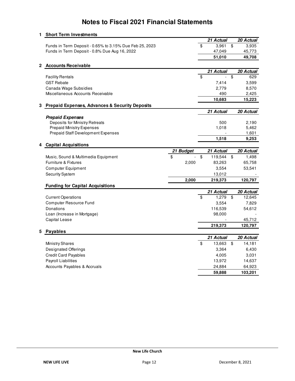| 1 | <b>Short Term Investments</b>                             |           |                    |                 |
|---|-----------------------------------------------------------|-----------|--------------------|-----------------|
|   |                                                           |           | 21 Actual          | 20 Actual       |
|   | Funds in Term Deposit - 0.65% to 3.15% Due Feb 25, 2023   |           | \$<br>3,961        | \$<br>3,935     |
|   | Funds in Term Deposit - 0.8% Due Aug 16, 2022             |           | 47,049             | 45,773          |
|   |                                                           |           | 51,010             | 49,708          |
| 2 | <b>Accounts Receivable</b>                                |           |                    |                 |
|   |                                                           |           | 21 Actual          | 20 Actual       |
|   | <b>Facility Rentals</b>                                   |           | \$                 | \$<br>629       |
|   | <b>GST Rebate</b>                                         |           | 7,414              | 3,599           |
|   | Canada Wage Subsidies                                     |           | 2,779              | 8,570           |
|   | Miscellaneous Accounts Receivable                         |           | 490                | 2,425           |
|   |                                                           |           | 10,683             | 15,223          |
| 3 | <b>Prepaid Expenses, Advances &amp; Security Deposits</b> |           |                    |                 |
|   |                                                           |           | 21 Actual          | 20 Actual       |
|   | <b>Prepaid Expenses</b>                                   |           |                    |                 |
|   | Deposits for Ministry Retreats                            |           | 500                | 2,190           |
|   | <b>Prepaid Ministry Expenses</b>                          |           | 1,018              | 5,462           |
|   | Prepaid Staff Development Expenses                        |           |                    | 1,601           |
|   |                                                           |           | 1,518              | 9,253           |
|   | <b>Capital Acquisitions</b>                               |           |                    |                 |
|   |                                                           | 21 Budget | 21 Actual          | 20 Actual       |
|   | Music, Sound & Multimedia Equipment                       | \$        | \$<br>119,544      | \$<br>1,498     |
|   | <b>Furniture &amp; Fixtures</b>                           | 2,000     | 83,263             | 65,758          |
|   | <b>Computer Equipment</b>                                 |           | 3,554              | 53,541          |
|   | Security System                                           |           | 13,012             |                 |
|   |                                                           | 2,000     | 219,373            | 120,797         |
|   | <b>Funding for Capital Acquisitions</b>                   |           |                    |                 |
|   |                                                           |           | 21 Actual<br>1,279 | 20 Actual       |
|   | <b>Current Operations</b><br>Computer Resource Fund       |           | \$                 | \$<br>12,645    |
|   | Donations                                                 |           | 3,554<br>116,539   | 7,829<br>54,612 |
|   | Loan (Increase in Mortgage)                               |           | 98,000             |                 |
|   | Capital Lease                                             |           |                    | 45,712          |
|   |                                                           |           | 219,373            | 120,797         |
| 5 | Payables                                                  |           |                    |                 |
|   |                                                           |           | 21 Actual          | 20 Actual       |
|   | Ministry Shares                                           |           | \$<br>13,663       | \$<br>14,181    |
|   | <b>Designated Offerings</b>                               |           | 3,364              | 6,430           |
|   | <b>Credit Card Payables</b>                               |           | 4,005              | 3,031           |
|   | <b>Payroll Liabilities</b>                                |           | 13,972             | 14,637          |
|   | Accounts Payables & Accruals                              |           | 24,884             | 64,923          |
|   |                                                           |           | 59,888             | 103,201         |
|   |                                                           |           |                    |                 |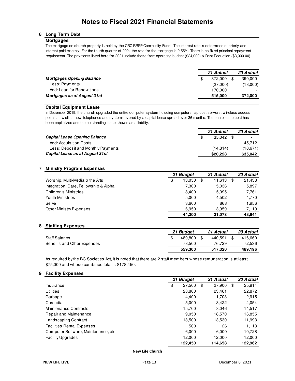#### **6 Long Term Debt**

#### **Mortgages**

The mortgage on church property is held by the CRC RRSP Community Fund. The interest rate is determined quarterly and interest paid monthly. For the fourth quarter of 2021 the rate for the mortgage is 2.55%. There is no fixed principal repayment requirement. The payments listed here for 2021 include those from operating budget (\$24,000) & Debt Reduction (\$3,000.00).

| \$       |          |
|----------|----------|
| 372.000  | 390,000  |
| (27,000) | (18,000) |
| 170.000  | -        |
| 515,000  | 372,000  |
|          |          |

#### **Capital Equipment Lease**

In December 2019, the church upgraded the entire computer system including computers, laptops, servers, w ireless access points as w ell as new telephones and system covered by a capital lease spread over 36 months. The entire lease cost has been capitalized and the outstanding lease show n as a liability.

|                                      | 21 Actual | 20 Actual                |
|--------------------------------------|-----------|--------------------------|
| <b>Capital Lease Opening Balance</b> | 35.042    | $\overline{\phantom{0}}$ |
| Add: Acquisition Costs               | -         | 45.712                   |
| Less: Deposit and Monthly Payments   | (14.814)  | (10, 671)                |
| Capital Lease as at August 31st      | \$20,228  | \$35,042                 |

#### **7 Ministry Program Expenses**

|                                       | 21 Budget    | 21 Actual    | 20 Actual |
|---------------------------------------|--------------|--------------|-----------|
| Worship, Multi-Media & the Arts       | \$<br>13.050 | \$<br>11.613 | 21,438    |
| Integration, Care, Fellowship & Alpha | 7.300        | 5.036        | 5,897     |
| <b>Children's Ministries</b>          | 8.400        | 5.095        | 7,761     |
| Youth Ministries                      | 5.000        | 4.502        | 4,770     |
| Serve                                 | 3.600        | 868          | 1.956     |
| Other Ministry Expenses               | 6.950        | 3.959        | 7,119     |
|                                       | 44.300       | 31.073       | 48.941    |

#### **8 Staffing Expenses**

|                             | 21 Budget | 21 Actual | 20 Actual |
|-----------------------------|-----------|-----------|-----------|
| <b>Staff Salaries</b>       | 480.800   | 440.591   | 416.660   |
| Benefits and Other Expenses | 78.500    | 76.729    | 72,536    |
|                             | 559.300   | 517.320   | 489,196   |

As required by the BC Societies Act, it is noted that there are 2 staff members whose remuneration is at least \$75,000 and whose combined total is \$178,450.

#### **9 Facility Expenses**

|                                      | 21 Budget    | 21 Actual    | 20 Actual    |
|--------------------------------------|--------------|--------------|--------------|
| Insurance                            | \$<br>27,500 | \$<br>27.900 | \$<br>25,914 |
| <b>Utilities</b>                     | 28,800       | 23.461       | 22,872       |
| Garbage                              | 4.400        | 1,703        | 2,915        |
| Custodial                            | 5.000        | 3.422        | 4.054        |
| Maintenance Contracts                | 15,700       | 8.046        | 14.517       |
| Repair and Maintenance               | 9.050        | 18.570       | 16.855       |
| Landscaping Contract                 | 13,500       | 13,530       | 11,993       |
| <b>Facilities Rental Expenses</b>    | 500          | 26           | 1,113        |
| Computer Software, Maintenance, etc. | 6.000        | 6.000        | 10.728       |
| <b>Facility Upgrades</b>             | 12,000       | 12,000       | 12,000       |
|                                      | 122.450      | 114,658      | 122,962      |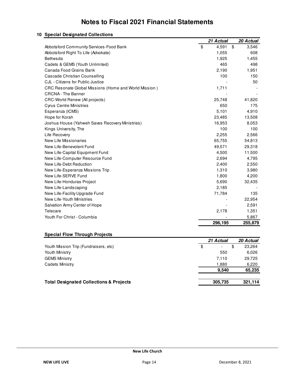|                                                              | 21 Actual   | 20 Actual   |
|--------------------------------------------------------------|-------------|-------------|
| Abbotsford Community Services-Food Bank                      | \$<br>4,591 | \$<br>3,546 |
| Abbotsford Right To Life (Advokate)                          | 1,055       | 608         |
| Bethesda                                                     | 1,925       | 1,455       |
| Cadets & GEMS (Youth Unlimited)                              | 465         | 498         |
| Canada Food Grains Bank                                      | 2,190       | 1,951       |
| Cascade Christian Counselling                                | 100         | 150         |
| CJL - Citizens for Public Justice                            |             | 50          |
| <b>CRC Resonate Global Missions (Home and World Mission)</b> | 1,711       |             |
| <b>CRCNA</b> - The Banner                                    |             |             |
| CRC-World Renew (All projects)                               | 25,748      | 41,820      |
| <b>Cyrus Centre Ministries</b>                               | 650         | 175         |
| Esperanza (ICMS)                                             | 5,101       | 4,910       |
| Hope for Korah                                               | 23,485      | 13,508      |
| Joshua House (Yahweh Saves Recovery Ministries)              | 16,953      | 8,053       |
| Kings University, The                                        | 100         | 100         |
| Life Recovery                                                | 2,255       | 2,566       |
| New Life Missionaries                                        | 65,755      | 54,813      |
| New Life-Benevolent Fund                                     | 49,571      | 29,318      |
| New Life-Capital Equipment Fund                              | 4,500       | 11,500      |
| New Life-Computer Resource Fund                              | 2,694       | 4,795       |
| New Life-Debt Reduction                                      | 2,400       | 2,550       |
| New Life-Esperanza Missions Trip                             | 1,310       | 3,980       |
| New Life-SERVE Fund                                          | 1,800       | 4,200       |
| New Life-Honduras Project                                    | 5,690       | 32,435      |
| New Life-Landscaping                                         | 2,185       |             |
| New Life-Facility Upgrade Fund                               | 71,784      | 135         |
| New Life-Youth Ministries                                    |             | 22,954      |
| Salvation Army Center of Hope                                |             | 2,591       |
| Telecare                                                     | 2,178       | 1,351       |
| Youth For Christ - Columbia                                  |             | 5,867       |
|                                                              | 296,195     | 255,879     |

#### **10 Special Designated Collections**

#### **Special Flow Through Projects**

|                                                    | 21 Actual                      | 20 Actual    |
|----------------------------------------------------|--------------------------------|--------------|
| Youth Mission Trip (Fundraisers, etc)              | \$<br>$\overline{\phantom{a}}$ | \$<br>23,264 |
| Youth Ministry                                     | 550                            | 6,026        |
| <b>GEMS Ministry</b>                               | 7.110                          | 29,725       |
| <b>Cadets Ministry</b>                             | 1.880                          | 6,220        |
|                                                    | 9.540                          | 65,235       |
| <b>Total Designated Collections &amp; Projects</b> | 305,735                        | 321,114      |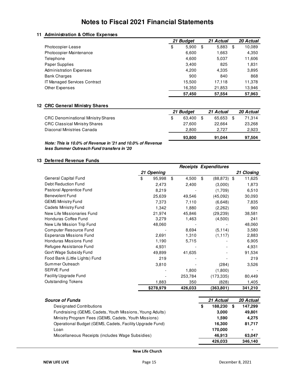#### **11 Administration & Office Expenses**

|                                     | 21 Budget   | 21 Actual   | 20 Actual    |
|-------------------------------------|-------------|-------------|--------------|
| Photocopier-Lease                   | \$<br>5,900 | \$<br>5,883 | \$<br>10,089 |
| Photocopier-Maintenance             | 6,600       | 1,663       | 4,350        |
| Telephone                           | 4,600       | 5,037       | 11,606       |
| Paper Supplies                      | 3,400       | 825         | 1,831        |
| <b>Administration Expenses</b>      | 4.200       | 4,335       | 3,895        |
| <b>Bank Charges</b>                 | 900         | 840         | 868          |
| <b>IT Managed Services Contract</b> | 15,500      | 17.118      | 11,378       |
| Other Expenses                      | 16,350      | 21,853      | 13,946       |
|                                     | 57,450      | 57.554      | 57,963       |

#### **12 CRC General Ministry Shares**

|                                           | 21 Budget    |  | 21 Actual | 20 Actual |        |
|-------------------------------------------|--------------|--|-----------|-----------|--------|
| <b>CRC Denominational Ministry Shares</b> | \$<br>63.400 |  | 65.653    |           | 71.314 |
| <b>CRC Classical Ministry Shares</b>      | 27.600       |  | 22.664    |           | 23,268 |
| Diaconal Ministries Canada                | 2.800        |  | 2.727     |           | 2,923  |
|                                           | 93,800       |  | 91.044    |           | 97,504 |

*Note: This is 10.0% of Revenue in '21 and 10.0% of Revenue less Summer Outreach Fund transfers in '20*

#### **13 Deferred Revenue Funds**

|                                |    |                |             | <b>Receipts Expenditures</b> |              |
|--------------------------------|----|----------------|-------------|------------------------------|--------------|
|                                | 21 | <b>Opening</b> |             |                              | 21 Closing   |
| General Capital Fund           | \$ | 95,998         | \$<br>4,500 | \$<br>(88,873)               | \$<br>11,625 |
| Debt Reduction Fund            |    | 2,473          | 2,400       | (3,000)                      | 1,873        |
| Pastoral Apprentice Fund       |    | 8,219          |             | (1,709)                      | 6,510        |
| Benevolent Fund                |    | 25,639         | 49,546      | (45,092)                     | 30,093       |
| <b>GEMS Ministry Fund</b>      |    | 7,373          | 7,110       | (6,648)                      | 7,835        |
| <b>Cadets Ministry Fund</b>    |    | 1,342          | 1,880       | (2,262)                      | 960          |
| New Life Missionaries Fund     |    | 21,974         | 45,846      | (29, 239)                    | 38,581       |
| Honduras Coffee Fund           |    | 3,279          | 1,463       | (4,500)                      | 241          |
| New Life Mission Trip Fund     |    | 48,060         |             |                              | 48,060       |
| Computer Resource Fund         |    |                | 8,694       | (5, 114)                     | 3,580        |
| <b>Esperanza Missions Fund</b> |    | 2,691          | 1,310       | (1, 117)                     | 2,883        |
| Honduras Missions Fund         |    | 1,190          | 5,715       |                              | 6,905        |
| Refugee Assistance Fund        |    | 4,931          |             |                              | 4,931        |
| Gov't Wage Subsidy Fund        |    | 49,899         | 41,635      |                              | 91,534       |
| Food Bank (Little Lights) Fund |    | 219            |             |                              | 219          |
| Summer Outreach                |    | 3,810          |             | (284)                        | 3,526        |
| <b>SERVE Fund</b>              |    |                | 1,800       | (1,800)                      |              |
| <b>Facility Upgrade Fund</b>   |    |                | 253,784     | (173, 335)                   | 80,449       |
| <b>Outstanding Tokens</b>      |    | 1,883          | 350         | (828)                        | 1,405        |
|                                |    | \$278,979      | 426,033     | (363, 801)                   | 341,210      |

| <b>Source of Funds</b>                                   |   | 21 Actual |   | 20 Actual |
|----------------------------------------------------------|---|-----------|---|-----------|
| <b>Designated Contributions</b>                          | S | 188.230   | S | 147,299   |
| Fundraising (GEMS, Cadets, Youth Missions, Young Adults) |   | 3.000     |   | 49.801    |
| Ministry Program Fees (GEMS, Cadets, Youth Missions)     |   | 1.590     |   | 4.275     |
| Operational Budget (GEMS, Cadets, Facility Upgrade Fund) |   | 16.300    |   | 81,717    |
| Loan                                                     |   | 170,000   |   | ۰         |
| Miscellaneous Receipts (includes Wage Subsidies)         |   | 46,913    |   | 63,047    |
|                                                          |   | 426.033   |   | 346.140   |

**New Life Church**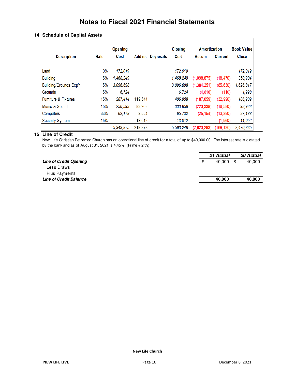|                                | <b>Opening</b> |                          |         | Closing          | Amortization |               | <b>Book Value</b> |              |
|--------------------------------|----------------|--------------------------|---------|------------------|--------------|---------------|-------------------|--------------|
| <b>Description</b>             | Rate           | Cost                     | Add'ns  | <b>Disposals</b> | Cost         | Accum         | <b>Current</b>    | <b>Close</b> |
| Land                           | $0\%$          | 172.019                  |         |                  | 172.019      |               |                   | 172,019      |
| <b>Building</b>                | 5%             | 1,468,249                |         |                  | 1,468,249    | (1.098.875)   | (18, 470)         | 350,904      |
| Building/Grounds Exp'n         | 5%             | 3,096,698                |         |                  | 3,096,698    | (1, 384, 251) | (85, 630)         | 1,626,817    |
| Grounds                        | 5%             | 6,724                    |         |                  | 6,724        | (4,616)       | (110)             | 1,998        |
| <b>Fumiture &amp; Fixtures</b> | 15%            | 287.414                  | 119.544 |                  | 406,958      | (187,059)     | (32, 990)         | 186,909      |
| Music & Sound                  | 15%            | 250,593                  | 83.263  |                  | 333,856      | (223, 338)    | (16, 580)         | 93,938       |
| <b>Computers</b>               | 33%            | 62,178                   | 3,554   |                  | 65,732       | (25, 154)     | (13, 390)         | 27,188       |
| <b>Security System</b>         | 15%            | $\overline{\phantom{a}}$ | 13,012  |                  | 13,012       |               | (1.960)           | 11,052       |
|                                |                | 5,343,875                | 219.373 | ٠                | 5.563.248    | (2.923.293)   | (169, 130)        | 2,470,825    |

#### **14 Schedule of Capital Assets**

#### **15 Line of Credit**

New Life Christian Reformed Church has an operational line of credit for a total of up to \$40,000.00. The interest rate is dictated by the bank and as of August 31, 2021 is  $4.45\%$  (Prime  $+ 2\%$ )

|                               | 21 Actual                |     | 20 Actual                |
|-------------------------------|--------------------------|-----|--------------------------|
| <b>Line of Credit Opening</b> | \$<br>40.000             | \$. | 40.000                   |
| Less Draws                    | $\overline{\phantom{0}}$ |     | $\overline{\phantom{0}}$ |
| <b>Plus Payments</b>          | $\overline{\phantom{a}}$ |     | $\overline{\phantom{0}}$ |
| <b>Line of Credit Balance</b> | 40.000                   |     | 40,000                   |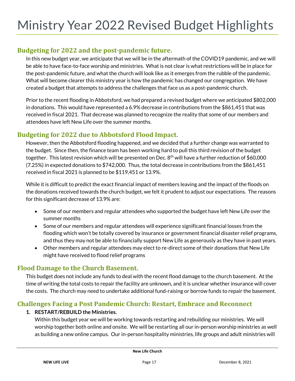### **Budgeting for 2022 and the post-pandemic future.**

In this new budget year, we anticipate that we will be in the aftermath of the COVID19 pandemic, and we will be able to have face-to-face worship and ministries. What is not clear is what restrictions will be in place for the post-pandemic future, and what the church will look like as it emerges from the rubble of the pandemic. What will become clearer this ministry year is how the pandemic has changed our congregation. We have created a budget that attempts to address the challenges that face us as a post-pandemic church.

Prior to the recent flooding in Abbotsford, we had prepared a revised budget where we anticipated \$802,000 in donations. This would have represented a 6.9% decrease in contributions from the \$861,451 that was received in fiscal 2021. That decrease was planned to recognize the reality that some of our members and attendees have left New Life over the summer months.

### **Budgeting for 2022 due to Abbotsford Flood Impact.**

However, then the Abbotsford flooding happened, and we decided that a further change was warranted to the budget. Since then, the finance team has been working hard to pull this third revision of the budget together. This latest revision which will be presented on Dec.  $8<sup>th</sup>$  will have a further reduction of \$60,000 (7.25%) in expected donations to \$742,000. Thus, the total decrease in contributions from the \$861,451 received in fiscal 2021 is planned to be \$119,451 or 13.9%.

While it is difficult to predict the exact financial impact of members leaving and the impact of the floods on the donations received towards the church budget, we felt it prudent to adjust our expectations. The reasons for this significant decrease of 13.9% are:

- Some of our members and regular attendees who supported the budget have left New Life over the summer months
- Some of our members and regular attendees will experience significant financial losses from the flooding which won't be totally covered by insurance or government financial disaster relief programs, and thus they may not be able to financially support New Life as generously as they have in past years.
- Other members and regular attendees may elect to re-direct some of their donations that New Life might have received to flood relief programs

#### **Flood Damage to the Church Basement.**

This budget does not include any funds to deal with the recent flood damage to the church basement. At the time of writing the total costs to repair the facility are unknown, and it is unclear whether insurance will cover the costs. The church may need to undertake additional fund-raising or borrow funds to repair the basement.

### **Challenges Facing a Post Pandemic Church: Restart, Embrace and Reconnect**

#### **1. RESTART/REBUILD the Ministries.**

Within this budget year we will be working towards restarting and rebuilding our ministries. We will worship together both online and onsite. We will be restarting all our in-person worship ministries as well as building a new online campus. Our in-person hospitality ministries, life groups and adult ministries will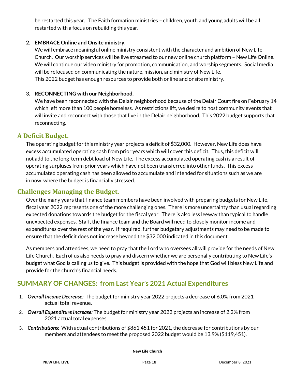be restarted this year. The Faith formation ministries – children, youth and young adults will be all restarted with a focus on rebuilding this year.

#### **2. EMBRACE Online and Onsite ministry.**

We will embrace meaningful online ministry consistent with the character and ambition of New Life Church. Our worship services will be live streamed to our new online church platform – New Life Online. We will continue our video ministry for promotion, communication, and worship segments. Social media will be refocused on communicating the nature, mission, and ministry of New Life. This 2022 budget has enough resources to provide both online and onsite ministry.

#### 3. **RECONNECTING with our Neighborhood.**

We have been reconnected with the Delair neighborhood because of the Delair Court fire on February 14 which left more than 100 people homeless. As restrictions lift, we desire to host community events that will invite and reconnect with those that live in the Delair neighborhood. This 2022 budget supports that reconnecting.

#### **A Deficit Budget.**

The operating budget for this ministry year projects a deficit of \$32,000. However, New Life does have excess accumulated operating cash from prior years which will cover this deficit. Thus, this deficit will not add to the long-term debt load of New Life. The excess accumulated operating cash is a result of operating surpluses from prior years which have not been transferred into other funds. This excess accumulated operating cash has been allowed to accumulate and intended for situations such as we are in now, where the budget is financially stressed.

#### **Challenges Managing the Budget.**

Over the many years that finance team members have been involved with preparing budgets for New Life, fiscal year 2022 represents one of the more challenging ones. There is more uncertainty than usual regarding expected donations towards the budget for the fiscal year. There is also less leeway than typical to handle unexpected expenses. Staff, the finance team and the Board will need to closely monitor income and expenditures over the rest of the year. If required, further budgetary adjustments may need to be made to ensure that the deficit does not increase beyond the \$32,000 indicated in this document.

As members and attendees, we need to pray that the Lord who oversees all will provide for the needs of New Life Church. Each of us also needs to pray and discern whether we are personally contributing to New Life's budget what God is calling us to give. This budget is provided with the hope that God will bless New Life and provide for the church's financial needs.

### **SUMMARY OF CHANGES: from Last Year's 2021 Actual Expenditures**

- 1. *Overall Income Decrease:* The budget for ministry year 2022 projects a decrease of 6.0% from 2021 actual total revenue.
- 2. *Overall Expenditure Increase:* The budget for ministry year 2022 projects an increase of 2.2% from 2021 actual total expenses.
- 3. *Contributions:*With actual contributions of \$861,451 for 2021, the decrease for contributions by our members and attendees to meet the proposed 2022 budget would be 13.9% (\$119,451).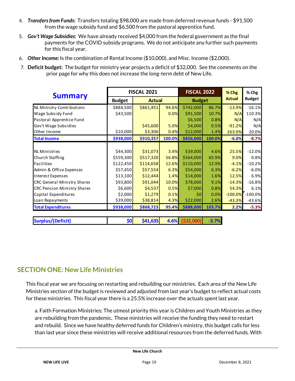- 4. *Transfers from Funds:* Transfers totaling \$98,000 are made from deferred revenue funds \$91,500 from the wage subsidy fund and \$6,500 from the pastoral apprentice fund.
- 5. *Gov't Wage Subsidies:* We have already received \$4,000 from the federal government as the final payments for the COVID subsidy programs. We do not anticipate any further such payments for this fiscal year.
- 6. *Other Income:* Is the combination of Rental Income (\$10,000), and Misc. Income (\$2,000).
- 7. **Deficit budget:** The budget for ministry year projects a deficit of \$32,000. See the comments on the prior page for why this does not increase the long-term debt of New Life.

|                                    | <b>FISCAL 2021</b> |               |        | <b>FISCAL 2022</b> |         | % Chg    | % Chg              |
|------------------------------------|--------------------|---------------|--------|--------------------|---------|----------|--------------------|
| <b>Summary</b>                     | <b>Budget</b>      | <b>Actual</b> |        | <b>Budget</b>      |         | Actual   | <b>Budget</b>      |
| NL Ministry Contributions          | \$884,500          | \$861,451     | 94.6%  | \$742,000          | 86.7%   | $-13.9%$ | $-16.1%$           |
| Wage Subsidy Fund                  | \$43,500           |               | 0.0%   | \$91,500           | 10.7%   | N/A      | 110.3%             |
| Pastoral Apprentice Fund           |                    |               |        | \$6,500            | 0.8%    | N/A      | N/A                |
| Gov't Wage Subsidies               |                    | \$45,600      | 5.0%   | \$4,000            | 0.5%    | $-91.2%$ | N/A                |
| Other Income                       | \$10,000           | \$3,306       | 0.4%   | \$12,000           | 1.4%    | 263.0%   | 20.0%              |
| <b>Total Income</b>                | \$938,000          | \$910,357     | 100.0% | \$856,000          | 100.0%  | $-6.0%$  | $-8.7%$            |
|                                    |                    |               |        |                    |         |          |                    |
| <b>NL Ministries</b>               | \$44,300           | \$31,073      | 3.4%   | \$39,000           | 4.6%    | 25.5%    | $-12.0%$           |
| <b>Church Staffing</b>             | \$559,300          | \$517,320     | 56.8%  | \$564,000          | 65.9%   | 9.0%     | 0.8%               |
| Facilities                         | \$122,450          | \$114,658     | 12.6%  | \$110,000          | 12.9%   | $-4.1%$  | $-10.2%$           |
| Admin & Office Expenses            | \$57,450           | \$57,554      | 6.3%   | \$54,000           | 6.3%    | $-6.2%$  | $-6.0%$            |
| Interest Expenses                  | \$13,100           | \$12,444      | 1.4%   | \$14,000           | 1.6%    | 12.5%    | 6.9%               |
| <b>CRC General Ministry Shares</b> | \$93,800           | \$91,044      | 10.0%  | \$78,000           | 9.1%    | $-14.3%$ | $-16.8%$           |
| <b>CRC Pension Ministry Shares</b> | \$6,600            | \$4,537       | 0.5%   | \$7,000            | 0.8%    | 54.3%    | 6.1%               |
| Capital Expenditures               | \$2,000            | \$1,279       | 0.1%   | \$0                | 0.0%    |          | $-100.0\%$ -100.0% |
| Loan Repayments                    | \$39,000           | \$38,814      | 4.3%   | \$22,000           | 2.6%    | $-43.3%$ | $-43.6%$           |
| <b>Total Expenditures</b>          | \$938,000          | \$868,723     | 95.4%  | \$888,000          | 103.7%  | 2.2%     | $-5.3%$            |
| <b>Surplus/(Deficit)</b>           | \$0                | \$41,635      | 4.6%   | ( \$32,000)        | $-3.7%$ |          |                    |

### **SECTION ONE: New Life Ministries**

This fiscal year we are focusing on restarting and rebuilding our ministries. Each area of the New Life Ministries section of the budget is reviewed and adjusted from last year's budget to reflect actual costs for these ministries. This fiscal year there is a 25.5% increase over the actuals spent last year.

a. Faith Formation Ministries: The utmost priority this year is Children and Youth Ministries as they are rebuilding from the pandemic. These ministries will receive the funding they need to restart and rebuild. Since we have healthy deferred funds for Children's ministry, this budget calls for less than last year since these ministries will receive additional resources from the deferred funds. With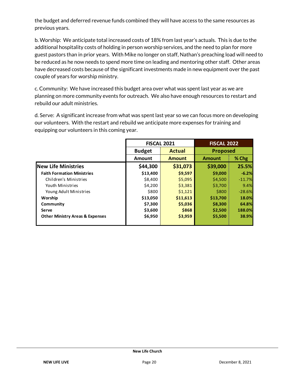the budget and deferred revenue funds combined they will have access to the same resources as previous years.

b. Worship: We anticipate total increased costs of 18% from last year's actuals. This is due to the additional hospitality costs of holding in person worship services, and the need to plan for more guest pastors than in prior years. With Mike no longer on staff, Nathan's preaching load will need to be reduced as he now needs to spend more time on leading and mentoring other staff. Other areas have decreased costs because of the significant investments made in new equipment over the past couple of years for worship ministry.

c. Community: We have increased this budget area over what was spent last year as we are planning on more community events for outreach. We also have enough resources to restart and rebuild our adult ministries.

d. Serve: A significant increase from what was spent last year so we can focus more on developing our volunteers. With the restart and rebuild we anticipate more expenses for training and equipping our volunteers in this coming year.

|                                            |               | <b>FISCAL 2021</b> | <b>FISCAL 2022</b> |          |
|--------------------------------------------|---------------|--------------------|--------------------|----------|
|                                            | <b>Budget</b> | <b>Actual</b>      | <b>Proposed</b>    |          |
|                                            | <b>Amount</b> | <b>Amount</b>      | <b>Amount</b>      | % Chg    |
| <b>New Life Ministries</b>                 | \$44,300      | \$31,073           | \$39,000           | 25.5%    |
| <b>Faith Formation Ministries</b>          | \$13,400      | \$9,597            | \$9,000            | $-6.2%$  |
| Children's Ministries                      | \$8,400       | \$5,095            | \$4,500            | $-11.7%$ |
| Youth Ministries                           | \$4,200       | \$3,381            | \$3,700            | 9.4%     |
| Young Adult Ministries                     | \$800         | \$1,121            | \$800              | $-28.6%$ |
| Worship                                    | \$13,050      | \$11,613           | \$13,700           | 18.0%    |
| Community                                  | \$7,300       | \$5,036            | \$8,300            | 64.8%    |
| Serve                                      | \$3,600       | \$868              | \$2,500            | 188.0%   |
| <b>Other Ministry Areas &amp; Expenses</b> | \$6,950       | \$3,959            | \$5,500            | 38.9%    |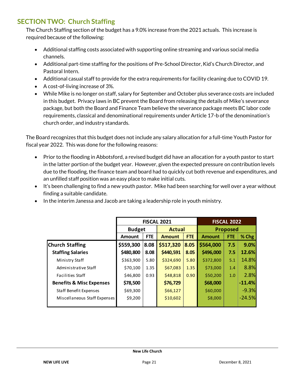# **SECTION TWO: Church Staffing**

The Church Staffing section of the budget has a 9.0% increase from the 2021 actuals. This increase is required because of the following:

- Additional staffing costs associated with supporting online streaming and various social media channels.
- Additional part-time staffing for the positions of Pre-School Director, Kid's Church Director, and Pastoral Intern.
- Additional casual staff to provide for the extra requirements for facility cleaning due to COVID 19.
- A cost-of-living increase of 3%.
- While Mike is no longer on staff, salary for September and October plus severance costs are included in this budget. Privacy laws in BC prevent the Board from releasing the details of Mike's severance package, but both the Board and Finance Team believe the severance package meets BC labor code requirements, classical and denominational requirements under Article 17-b of the denomination's church order, and industry standards.

The Board recognizes that this budget does not include any salary allocation for a full-time Youth Pastor for fiscal year 2022. This was done for the following reasons:

- Prior to the flooding in Abbotsford, a revised budget did have an allocation for a youth pastor to start in the latter portion of the budget year. However, given the expected pressure on contribution levels due to the flooding, the finance team and board had to quickly cut both revenue and expenditures, and an unfilled staff position was an easy place to make initial cuts.
- It's been challenging to find a new youth pastor. Mike had been searching for well over a year without finding a suitable candidate.
- In the interim Janessa and Jacob are taking a leadership role in youth ministry.

|                                     | <b>FISCAL 2021</b> |            |               |            | <b>FISCAL 2022</b> |                 |          |  |
|-------------------------------------|--------------------|------------|---------------|------------|--------------------|-----------------|----------|--|
|                                     | <b>Budget</b>      |            | <b>Actual</b> |            |                    | <b>Proposed</b> |          |  |
|                                     | Amount             | <b>FTE</b> | <b>Amount</b> | <b>FTE</b> | <b>Amount</b>      | <b>FTE</b>      | $%$ Chg  |  |
| <b>Church Staffing</b>              | \$559,300          | 8.08       | \$517,320     | 8.05       | \$564,000          | 7.5             | 9.0%     |  |
| <b>Staffing Salaries</b>            | \$480,800          | 8.08       | \$440,591     | 8.05       | \$496,000          | 7.5             | 12.6%    |  |
| Ministry Staff                      | \$363,900          | 5.80       | \$324,690     | 5.80       | \$372,800          | 5.1             | 14.8%    |  |
| Administrative Staff                | \$70,100           | 1.35       | \$67,083      | 1.35       | \$73,000           | 1.4             | 8.8%     |  |
| <b>Facilities Staff</b>             | \$46,800           | 0.93       | \$48,818      | 0.90       | \$50,200           | 1.0             | 2.8%     |  |
| <b>Benefits &amp; Misc Expenses</b> | \$78,500           |            | \$76,729      |            | \$68,000           |                 | $-11.4%$ |  |
| <b>Staff Benefit Expenses</b>       | \$69,300           |            | \$66,127      |            | \$60,000           |                 | $-9.3%$  |  |
| Miscellaneous Staff Expenses        | \$9,200            |            | \$10,602      |            | \$8,000            |                 | $-24.5%$ |  |
|                                     |                    |            |               |            |                    |                 |          |  |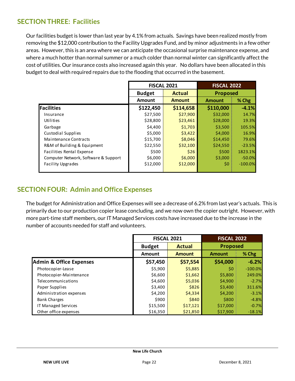### **SECTION THREE: Facilities**

Our facilities budget is lower than last year by 4.1% from actuals. Savings have been realized mostly from removing the \$12,000 contribution to the Facility Upgrades Fund, and by minor adjustments in a few other areas. However, this is an area where we can anticipate the occasional surprise maintenance expense, and where a much hotter than normal summer or a much colder than normal winter can significantly affect the cost of utilities. Our insurance costs also increased again this year. No dollars have been allocated in this budget to deal with required repairs due to the flooding that occurred in the basement.

|                                      |               | <b>FISCAL 2022</b><br><b>FISCAL 2021</b> |                 |           |
|--------------------------------------|---------------|------------------------------------------|-----------------|-----------|
|                                      | <b>Budget</b> | <b>Actual</b>                            | <b>Proposed</b> |           |
|                                      | <b>Amount</b> | <b>Amount</b>                            | <b>Amount</b>   | % Chg     |
| Facilities                           | \$122,450     | \$114,658                                | \$110,000       | $-4.1%$   |
| Insurance                            | \$27,500      | \$27,900                                 | \$32,000        | 14.7%     |
| Utilities                            | \$28,800      | \$23,461                                 | \$28,000        | 19.3%     |
| Garbage                              | \$4,400       | \$1,703                                  | \$3,500         | 105.5%    |
| Custodial Supplies                   | \$5,000       | \$3,422                                  | \$4,000         | 16.9%     |
| <b>Maintenance Contracts</b>         | \$15,700      | \$8,046                                  | \$14,450        | 79.6%     |
| R&M of Building & Equipment          | \$22,550      | \$32,100                                 | \$24,550        | $-23.5%$  |
| Facilities Rental Expense            | \$500         | \$26                                     | \$500           | 1823.1%   |
| Computer Network, Software & Support | \$6,000       | \$6,000                                  | \$3,000         | $-50.0%$  |
| <b>Facility Upgrades</b>             | \$12,000      | \$12,000                                 | \$0             | $-100.0%$ |

#### **SECTION FOUR: Admin and Office Expenses**

The budget for Administration and Office Expenses will see a decrease of 6.2% from last year's actuals. This is primarily due to our production copier lease concluding, and we now own the copier outright. However, with more part-time staff members, our IT Managed Services costs have increased due to the increase in the number of accounts needed for staff and volunteers.

|                                    |               | <b>FISCAL 2021</b> |                 | <b>FISCAL 2022</b> |
|------------------------------------|---------------|--------------------|-----------------|--------------------|
|                                    | <b>Budget</b> | <b>Actual</b>      | <b>Proposed</b> |                    |
|                                    | <b>Amount</b> | <b>Amount</b>      | <b>Amount</b>   | % Chg              |
| <b>Admin &amp; Office Expenses</b> | \$57,450      | \$57,554           | \$54,000        | $-6.2%$            |
| Photocopier-Lease                  | \$5,900       | \$5,885            | \$0             | $-100.0%$          |
| Photocopier-Maintenance            | \$6,600       | \$1,662            | \$5,800         | 249.0%             |
| Telecommunications                 | \$4,600       | \$5,036            | \$4,900         | $-2.7%$            |
| Paper Supplies                     | \$3,400       | \$826              | \$3,400         | 311.6%             |
| Administration expenses            | \$4,200       | \$4,334            | \$4,200         | $-3.1%$            |
| <b>Bank Charges</b>                | \$900         | \$840              | \$800           | $-4.8%$            |
| IT Managed Services                | \$15,500      | \$17,121           | \$17,000        | $-0.7%$            |
| Other office expenses              | \$16,350      | \$21,850           | \$17,900        | $-18.1%$           |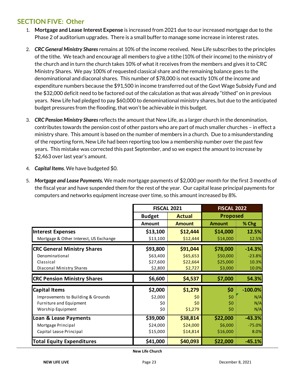## **SECTION FIVE: Other**

- 1. **Mortgage and Lease Interest Expense** is increased from 2021 due to our increased mortgage due to the Phase 2 of auditorium upgrades. There is a small buffer to manage some increase in interest rates.
- 2. *CRC General Ministry Shares* remains at 10% of the income received. New Life subscribes to the principles of the tithe. We teach and encourage all members to give a tithe (10% of their income) to the ministry of the church and in turn the church takes 10% of what it receives from the members and gives it to CRC Ministry Shares. We pay 100% of requested classical share and the remaining balance goes to the denominational and diaconal shares. This number of \$78,000 is not exactly 10% of the income and expenditure numbers because the \$91,500 in income transferred out of the Govt Wage Subsidy Fund and the \$32,000 deficit need to be factored out of the calculation as that was already "tithed" on in previous years. New Life had pledged to pay \$60,000 to denominational ministry shares, but due to the anticipated budget pressures from the flooding, that won't be achievable in this budget.
- 3. *CRC Pension Ministry Shares* reflects the amount that New Life, as a larger church in the denomination, contributes towards the pension cost of other pastors who are part of much smaller churches – in effect a ministry share. This amount is based on the number of members in a church. Due to a misunderstanding of the reporting form, New Life had been reporting too low a membership number over the past few years. This mistake was corrected this past September, and so we expect the amount to increase by \$2,463 over last year's amount.
- 4. *Capital Items*. We have budgeted \$0.
- 5. *Mortgage and Lease Payments.* We made mortgage payments of \$2,000 per month for the first 3 months of the fiscal year and have suspended them for the rest of the year. Our capital lease principal payments for computers and networks equipment increase over time, so this amount increased by 8%.

|                                        | <b>FISCAL 2021</b> |               | <b>FISCAL 2022</b> |           |  |
|----------------------------------------|--------------------|---------------|--------------------|-----------|--|
|                                        | <b>Budget</b>      | <b>Actual</b> | <b>Proposed</b>    |           |  |
|                                        | <b>Amount</b>      | <b>Amount</b> | <b>Amount</b>      | % Chg     |  |
| <b>Interest Expenses</b>               | \$13,100           | \$12,444      | \$14,000           | 12.5%     |  |
| Mortgage & Other Interest, US Exchange | \$13,100           | \$12,444      | \$14,000           | 12.5%     |  |
| <b>CRC General Ministry Shares</b>     | \$93,800           | \$91,044      | \$78,000           | $-14.3%$  |  |
| Denominational                         | \$63,400           | \$65,653      | \$50,000           | $-23.8%$  |  |
| Classical                              | \$27,600           | \$22,664      | \$25,000           | 10.3%     |  |
| Diaconal Ministry Shares               | \$2,800            | \$2,727       | \$3,000            | 10.0%     |  |
| <b>CRC Pension Ministry Shares</b>     | \$6,600            | \$4,537       | \$7,000            | 54.3%     |  |
| <b>Capital Items</b>                   | \$2,000            | \$1,279       | \$0                | $-100.0%$ |  |
| Improvements to Building & Grounds     | \$2,000            | \$0           | \$0                | N/A       |  |
| Furniture and Equipment                | \$0                | \$0           | \$0                | N/A       |  |
| Worship Equipment                      | \$0                | \$1,279       | \$0                | N/A       |  |
| Loan & Lease Payments                  | \$39,000           | \$38,814      | \$22,000           | $-43.3%$  |  |
| Mortgage Principal                     | \$24,000           | \$24,000      | \$6,000            | $-75.0%$  |  |
| Capital Lease Principal                | \$15,000           | \$14,814      | \$16,000           | 8.0%      |  |
| <b>Total Equity Expenditures</b>       | \$41,000           | \$40,093      | \$22,000           | $-45.1%$  |  |

**New Life Church**